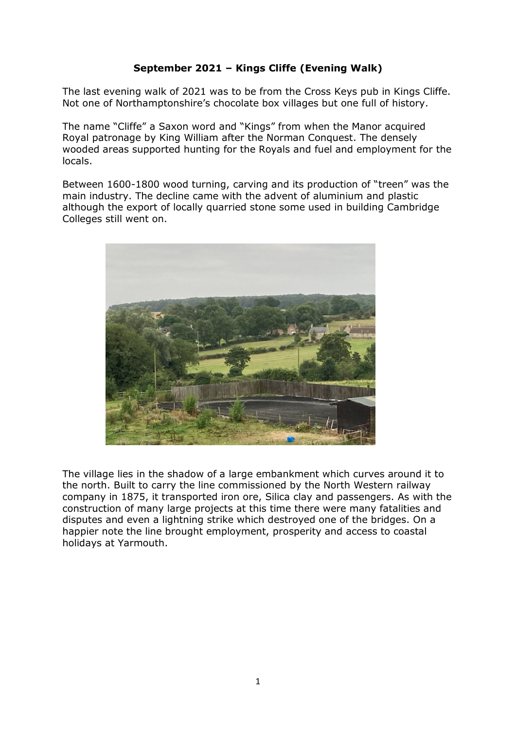## **September 2021 – Kings Cliffe (Evening Walk)**

The last evening walk of 2021 was to be from the Cross Keys pub in Kings Cliffe. Not one of Northamptonshire's chocolate box villages but one full of history.

The name "Cliffe" a Saxon word and "Kings" from when the Manor acquired Royal patronage by King William after the Norman Conquest. The densely wooded areas supported hunting for the Royals and fuel and employment for the locals.

Between 1600-1800 wood turning, carving and its production of "treen" was the main industry. The decline came with the advent of aluminium and plastic although the export of locally quarried stone some used in building Cambridge Colleges still went on.



The village lies in the shadow of a large embankment which curves around it to the north. Built to carry the line commissioned by the North Western railway company in 1875, it transported iron ore, Silica clay and passengers. As with the construction of many large projects at this time there were many fatalities and disputes and even a lightning strike which destroyed one of the bridges. On a happier note the line brought employment, prosperity and access to coastal holidays at Yarmouth.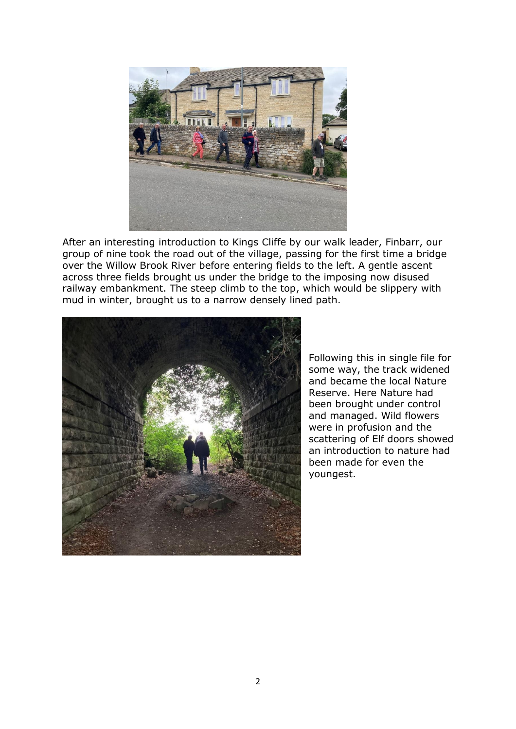

After an interesting introduction to Kings Cliffe by our walk leader, Finbarr, our group of nine took the road out of the village, passing for the first time a bridge over the Willow Brook River before entering fields to the left. A gentle ascent across three fields brought us under the bridge to the imposing now disused railway embankment. The steep climb to the top, which would be slippery with mud in winter, brought us to a narrow densely lined path.



Following this in single file for some way, the track widened and became the local Nature Reserve. Here Nature had been brought under control and managed. Wild flowers were in profusion and the scattering of Elf doors showed an introduction to nature had been made for even the youngest.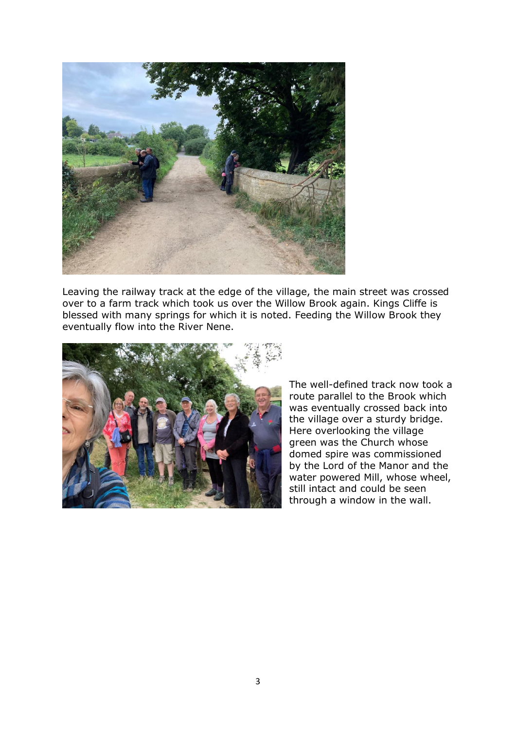

Leaving the railway track at the edge of the village, the main street was crossed over to a farm track which took us over the Willow Brook again. Kings Cliffe is blessed with many springs for which it is noted. Feeding the Willow Brook they eventually flow into the River Nene.



The well-defined track now took a route parallel to the Brook which was eventually crossed back into the village over a sturdy bridge. Here overlooking the village green was the Church whose domed spire was commissioned by the Lord of the Manor and the water powered Mill, whose wheel, still intact and could be seen through a window in the wall.